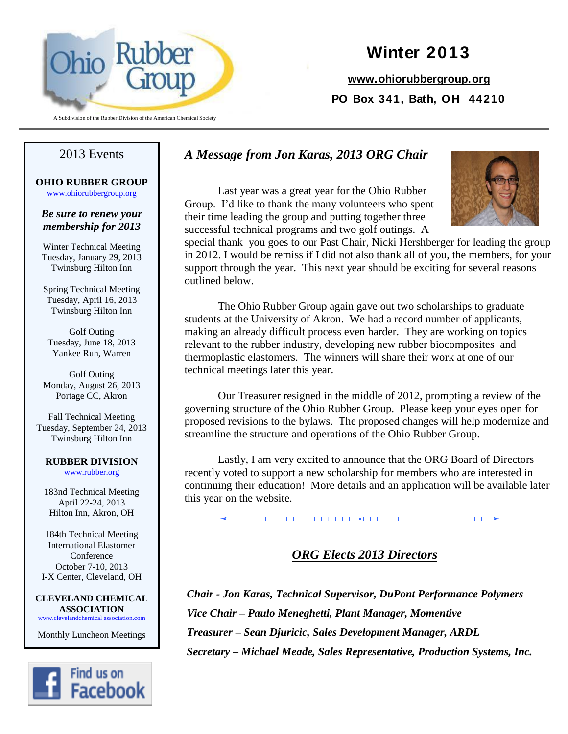

#### A Subdivision of the Rubber Division of the American Chemical Society

# **Winter 2013**

**[www.ohiorubbergroup.org](http://www.ohiorubbergroup.org/) PO Box 341, Bath, OH 44210**

### *A Message from Jon Karas, 2013 ORG Chair*

Last year was a great year for the Ohio Rubber Group. I'd like to thank the many volunteers who spent their time leading the group and putting together three successful technical programs and two golf outings. A



special thank you goes to our Past Chair, Nicki Hershberger for leading the group in 2012. I would be remiss if I did not also thank all of you, the members, for your support through the year. This next year should be exciting for several reasons outlined below.

The Ohio Rubber Group again gave out two scholarships to graduate students at the University of Akron. We had a record number of applicants, making an already difficult process even harder. They are working on topics relevant to the rubber industry, developing new rubber biocomposites and thermoplastic elastomers. The winners will share their work at one of our technical meetings later this year.

Our Treasurer resigned in the middle of 2012, prompting a review of the governing structure of the Ohio Rubber Group. Please keep your eyes open for proposed revisions to the bylaws. The proposed changes will help modernize and streamline the structure and operations of the Ohio Rubber Group.

Lastly, I am very excited to announce that the ORG Board of Directors recently voted to support a new scholarship for members who are interested in continuing their education! More details and an application will be available later this year on the website.

# *ORG Elects 2013 Directors*

*Chair - Jon Karas, Technical Supervisor, DuPont Performance Polymers Vice Chair – Paulo Meneghetti, Plant Manager, Momentive Treasurer – Sean Djuricic, Sales Development Manager, ARDL Secretary – Michael Meade, Sales Representative, Production Systems, Inc.*

# 2013 Events

**OHIO RUBBER GROUP** [www.ohiorubbergroup.org](http://www.ohiorubbergroup.org/)

### *Be sure to renew your membership for 2013*

Winter Technical Meeting Tuesday, January 29, 2013 Twinsburg Hilton Inn

Spring Technical Meeting Tuesday, April 16, 2013 Twinsburg Hilton Inn

Golf Outing Tuesday, June 18, 2013 Yankee Run, Warren

Golf Outing Monday, August 26, 2013 Portage CC, Akron

Fall Technical Meeting Tuesday, September 24, 2013 Twinsburg Hilton Inn

#### **RUBBER DIVISION**

[www.rubber.org](http://www.rubber.org/)

183nd Technical Meeting April 22-24, 2013 Hilton Inn, Akron, OH

184th Technical Meeting International Elastomer Conference October 7-10, 2013 I-X Center, Cleveland, OH

**CLEVELAND CHEMICAL ASSOCIATION** www.clevelandchemical association.com

Monthly Luncheon Meetings

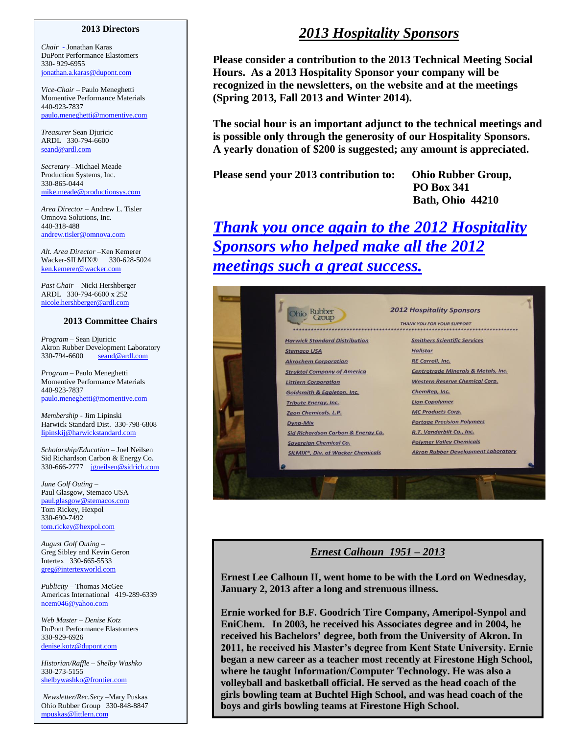#### **2013 Directors**

*Chair* - Jonathan Karas DuPont Performance Elastomers 330- 929-6955 [jonathan.a.karas@dupont.com](mailto:jonathan.a.karas@dupont.com)

*Vice-Chair –* Paulo Meneghetti Momentive Performance Materials 440-923-7837 paulo.meneghetti@momentive.com

*Treasurer* Sean Djuricic ARDL 330-794-6600 [seand@ardl.com](mailto:seand@ardl.com)

*Secretary –*Michael Meade Production Systems, Inc. 330-865-0444 mike.meade@productionsys.com

*Area Director –* Andrew L. Tisler Omnova Solutions, Inc. 440-318-488 andrew.tisler@omnova.com

*Alt. Area Director –*Ken Kemerer Wacker-SILMIX® 330-628-5024 ken.kemerer@wacker.com

*Past Chair –* Nicki Hershberger ARDL 330-794-6600 x 252 [nicole.hershberger@ardl.com](mailto:nicole.hershberger@ardl.com)

#### **2013 Committee Chairs**

*Program* – Sean Djuricic Akron Rubber Development Laboratory 330-794-6600 [seand@ardl.com](mailto:seand@ardl.com)

*Program –* Paulo Meneghetti Momentive Performance Materials 440-923-7837 paulo.meneghetti@momentive.com

*Membership -* Jim Lipinski Harwick Standard Dist. 330-798-6808 [lipinskij@harwickstandard.com](mailto:lipinskij@harwickstandard.com)

*Scholarship/Education* – Joel Neilsen Sid Richardson Carbon & Energy Co. 330-666-2777 [jgneilsen@sidrich.com](mailto:jgneilsen@sidrich.com)

*June Golf Outing –* Paul Glasgow, Stemaco USA paul.glasgow@stemacos.com Tom Rickey, Hexpol 330-690-7492 [tom.rickey@hexpol.com](mailto:tom.rickey@hexpol.com)

*August Golf Outing –* Greg Sibley and Kevin Geron Intertex 330-665-5533 [greg@intertexworld.com](mailto:greg@intertexworld.com)

*Publicity –* Thomas McGee Americas International 419-289-6339 [ncem046@yahoo.com](mailto:ncem046@yahoo.com)

*Web Master – Denise Kotz* DuPont Performance Elastomers 330-929-6926 [denise.kotz@dupont.com](mailto:denise.kotz@dupont.com)

*Historian/Raffle – Shelby Washko* 330-273-5155 shelbywashko@frontier.com

*Newsletter/Rec.Secy –*Mary Puskas Ohio Rubber Group 330-848-8847 [mpuskas@littlern.com](mailto:jvlipin@aol.com)

# *2013 Hospitality Sponsors*

 **Please consider a contribution to the 2013 Technical Meeting Social Hours. As a 2013 Hospitality Sponsor your company will be recognized in the newsletters, on the website and at the meetings (Spring 2013, Fall 2013 and Winter 2014).**

**The social hour is an important adjunct to the technical meetings and is possible only through the generosity of our Hospitality Sponsors. A yearly donation of \$200 is suggested; any amount is appreciated.** 

**Please send your 2013 contribution to: Ohio Rubber Group,** 

**PO Box 341 Bath, Ohio 44210**

*Thank you once again to the 2012 Hospitality Sponsors who helped make all the 2012 meetings such a great success.*

| Rubber                                              | <b>2012 Hospitality Sponsors</b><br><b>THANK YOU FOR YOUR SUPPORT</b> |  |  |
|-----------------------------------------------------|-----------------------------------------------------------------------|--|--|
| <b>Harwick Standard Distribution</b>                | <b>Smithers Scientific Services</b>                                   |  |  |
| <b>Stemaco USA</b>                                  | <b>Hallstar</b>                                                       |  |  |
| <b>Akrochem Corporation</b>                         | <b>RE Carroll, Inc.</b>                                               |  |  |
| <b>Struktol Company of America</b>                  | Centrotrade Minerals & Metals, Inc.                                   |  |  |
| <b>Littlern Corporation</b>                         | <b>Western Reserve Chemical Corp.</b>                                 |  |  |
| <b>Goldsmith &amp; Eggleton. Inc.</b>               | ChemRep, Inc.                                                         |  |  |
| <b>Tribute Energy, Inc.</b>                         | <b>Lion Copolymer</b>                                                 |  |  |
| Zeon Chemicals. L.P.                                | <b>MC Products Corp.</b>                                              |  |  |
| <b>Dyna-Mix</b>                                     | <b>Portage Precision Polymers</b>                                     |  |  |
| Sid Richardson Carbon & Energy Co.                  | R.T. Vanderbilt Co., Inc.                                             |  |  |
| <b>Sovereign Chemical Co.</b>                       | <b>Polymer Valley Chemicals</b>                                       |  |  |
| <b>SILMIX<sup>®</sup>, Div. of Wacker Chemicals</b> | <b>Akron Rubber Development Laboratory</b>                            |  |  |
|                                                     |                                                                       |  |  |
|                                                     |                                                                       |  |  |
|                                                     |                                                                       |  |  |

#### *Ernest Calhoun 1951 – 2013*

**Ernest Lee Calhoun II, went home to be with the Lord on Wednesday, January 2, 2013 after a long and strenuous illness.**

**Ernie worked for B.F. Goodrich Tire Company, Ameripol-Synpol and EniChem. In 2003, he received his Associates degree and in 2004, he received his Bachelors' degree, both from the University of Akron. In 2011, he received his Master's degree from Kent State University. Ernie began a new career as a teacher most recently at Firestone High School, where he taught Information/Computer Technology. He was also a volleyball and basketball official. He served as the head coach of the girls bowling team at Buchtel High School, and was head coach of the boys and girls bowling teams at Firestone High School.**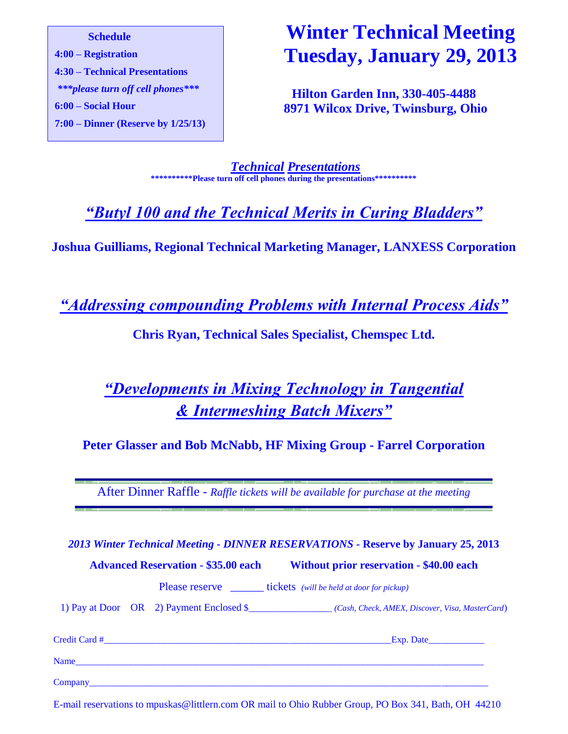**Schedule 4:00 – Registration 4:30 – Technical Presentations** *\*\*\*please turn off cell phones\*\*\** **6:00 – Social Hour 7:00 – Dinner (Reserve by 1/25/13)**

# **Winter Technical Meeting Tuesday, January 29, 2013**

**Hilton Garden Inn, 330-405-4488 8971 Wilcox Drive, Twinsburg, Ohio**

*Technical Presentations* **\*\*\*\*\*\*\*\*\*\*Please turn off cell phones during the presentations\*\*\*\*\*\*\*\*\*\***

*"Butyl 100 and the Technical Merits in Curing Bladders"*

**Joshua Guilliams, Regional Technical Marketing Manager, LANXESS Corporation**

*"Addressing compounding Problems with Internal Process Aids"*

**Chris Ryan, Technical Sales Specialist, Chemspec Ltd.** 

# *"Developments in Mixing Technology in Tangential & Intermeshing Batch Mixers"*

**Peter Glasser and Bob McNabb, HF Mixing Group - Farrel Corporation**

After Dinner Raffle - *Raffle tickets will be available for purchase at the meeting*

*2013 Winter Technical Meeting - DINNER RESERVATIONS -* **Reserve by January 25, 2013** 

**Advanced Reservation - \$35.00 each Without prior reservation - \$40.00 each**

Please reserve tickets *(will be held at door for pickup)* 

1) Pay at Door OR 2) Payment Enclosed \$\_\_\_\_\_\_\_\_\_\_\_\_\_\_\_\_\_\_ *(Cash, Check, AMEX, Discover, Visa, MasterCard*)

| Credit Card # | _Exp. Date_ |  |  |
|---------------|-------------|--|--|
| Name          |             |  |  |
| Company       |             |  |  |

E-mail reservations to mpuskas@littlern.com OR mail to Ohio Rubber Group, PO Box 341, Bath, OH 44210